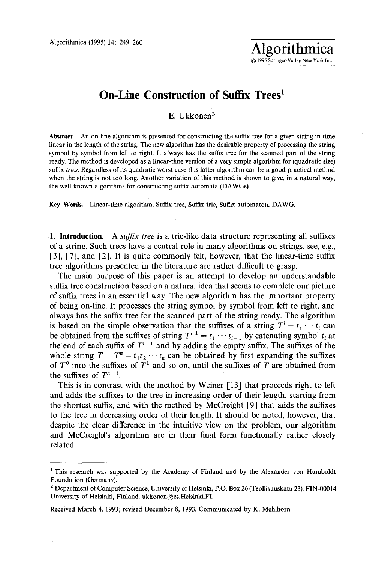## **On-Line Construction of Suffix Trees<sup>1</sup>**

E. Ukkonen<sup>2</sup>

**Abstract.** An on-line algorithm is presented for constructing the suffix tree for a given string in time linear in the length of the string. The new algorithm has the desirable property of processing the string symbol by symbol from left to right. It always has the suffix tree for the scanned part of the string ready. The method is developed as a linear-time version of a very simple algorithm for (quadratic size) suffix *tries.* Regardless of its quadratic worst case this latter algorithm can be a good practical method when the string is not too long. Another variation of this method is shown to give, in a natural way, the well-known algorithms for constructing suffix automata (DAWGs).

Key Words. Linear-time algorithm, Suffix tree, Suffix trie, Suffix automaton, DAWG.

1. Introduction. A *suffix tree* is a trie-like data structure representing all suffixes of a string. Such trees have a central role in many algorithms on strings, see, e.g., [3], [7], and [2]. It is quite commonly felt, however, that the linear-time suffix tree algorithms presented in the literature are rather difficult to grasp.

The main purpose of this paper is an attempt to develop an understandable suffix tree construction based on a natural idea that seems to complete our picture of suffix trees in an essential way. The new algorithm has the important property of being on-line. It processes the string symbol by symbol from left to right, and always has the suffix tree for the scanned part of the string ready. The algorithm is based on the simple observation that the suffixes of a string  $T^i = t_1 \cdots t_i$  can be obtained from the suffixes of string  $T^{i-1} = t_1 \cdots t_{i-1}$  by catenating symbol  $t_i$  at the end of each suffix of  $T^{i-1}$  and by adding the empty suffix. The suffixes of the whole string  $T = T^n = t_1 t_2 \cdots t_n$  can be obtained by first expanding the suffixes of  $T<sup>0</sup>$  into the suffixes of  $T<sup>1</sup>$  and so on, until the suffixes of T are obtained from the suffixes of  $T^{n-1}$ .

This is in contrast with the method by Weiner [13] that proceeds right to left and adds the suffixes to the tree in increasing order of their length, starting from the shortest suffix, and with the method by McCreight [9] that adds the suffixes to the tree in decreasing order of their length. It should be noted, however, that despite the clear difference in the intuitive view on the problem, our algorithm and McCreight's algorithm are in their final form functionally rather closely related.

<sup>1</sup> This research was supported by the Academy of Finland and by the Alexander von Humboldt Foundation (Germany).

<sup>2</sup> Department of Computer Science, University of Helsinki, P.O. Box 26 (Teollisuuskatu 23), FIN-00014 University of Helsinki, Finland. ukkonen@cs.Helsinki.FI.

Received March 4, 1993; revised December 8, 1993. Communicated by K. Mehlhorn.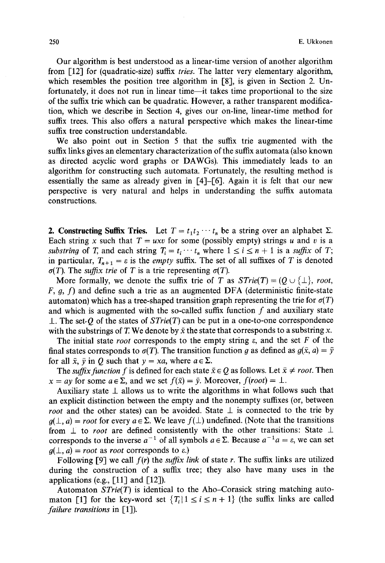Our algorithm is best understood as a linear-time version of another algorithm from [12] for (quadratic-size) suffix *tries.* The latter very elementary algorithm, which resembles the position tree algorithm in [8], is given in Section 2. Unfortunately, it does not run in linear time—it takes time proportional to the size of the suffix trie which can be quadratic. However, a rather transparent modifica, tion, which we describe in Section 4, gives our on-line, linear-time method for suffix trees. This also offers a natural perspective which makes the linear-time suffix tree construction understandable.

We also point out in Section 5 that the suffix trie augmented with the suffix links gives an elementary characterization of the suffix automata (also known as directed acyclic word graphs or DAWGs). This immediately leads to an algorithm for constructing such automata. Fortunately, the resulting method is essentially the same as already given in [4]-[6]. Again it is felt that our new perspective is very natural and helps in understanding the suffix automata constructions.

2. Constructing Suffix Tries. Let  $T = t_1 t_2 \cdots t_n$  be a string over an alphabet  $\Sigma$ . Each string x such that  $T = uxv$  for some (possibly empty) strings u and v is a *substring* of T, and each string  $T_i = t_i \cdots t_n$  where  $1 \le i \le n + 1$  is a *suffix* of T; in particular,  $T_{n+1} = \varepsilon$  is the *empty* suffix. The set of all suffixes of T is denoted  $\sigma(T)$ . The *suffix trie* of T is a trie representing  $\sigma(T)$ .

More formally, we denote the suffix trie of T as  $STrie(T) = (Q \cup \{\perp\}, root,$  $F, g, f$ ) and define such a trie as an augmented DFA (deterministic finite-state automaton) which has a tree-shaped transition graph representing the trie for  $\sigma(T)$ and which is augmented with the so-called suffix function  $f$  and auxiliary state  $\perp$ . The set Q of the states of  $STrie(T)$  can be put in a one-to-one correspondence with the substrings of T. We denote by  $\bar{x}$  the state that corresponds to a substring x.

The initial state *root* corresponds to the empty string  $\varepsilon$ , and the set  $F$  of the final states corresponds to  $\sigma(T)$ . The transition function g as defined as  $g(\bar{x}, a) = \bar{y}$ for all  $\bar{x}$ ,  $\bar{y}$  in Q such that  $y = xa$ , where  $a \in \Sigma$ .

The *suffix function f* is defined for each state  $\bar{x} \in Q$  as follows. Let  $\bar{x} \neq root$ . Then  $x = ay$  for some  $a \in \Sigma$ , and we set  $f(\bar{x}) = \bar{y}$ . Moreover,  $f(root) = \bot$ .

Auxiliary state  $\perp$  allows us to write the algorithms in what follows such that an explicit distinction between the empty and the nonempty suffixes (or, between *root* and the other states) can be avoided. State  $\perp$  is connected to the trie by  $g(\perp, a) = root$  for every  $a \in \Sigma$ . We leave  $f(\perp)$  undefined. (Note that the transitions from  $\perp$  to *root* are defined consistently with the other transitions: State  $\perp$ corresponds to the inverse  $a^{-1}$  of all symbols  $a \in \Sigma$ . Because  $a^{-1}a = \varepsilon$ , we can set  $q(\perp, a) = root$  as *root* corresponds to  $\varepsilon$ .)

Following [9] we call  $f(r)$  the *suffix link* of state r. The suffix links are utilized during the construction of a suffix tree; they also have many uses in the applications (e.g.,  $\lceil 11 \rceil$  and  $\lceil 12 \rceil$ ).

Automaton *STrie(T)* is identical to the Aho-Corasick string matching automaton [1] for the key-word set  ${T_i | 1 \le i \le n+1}$  (the suffix links are called *failure transitions* in [1]).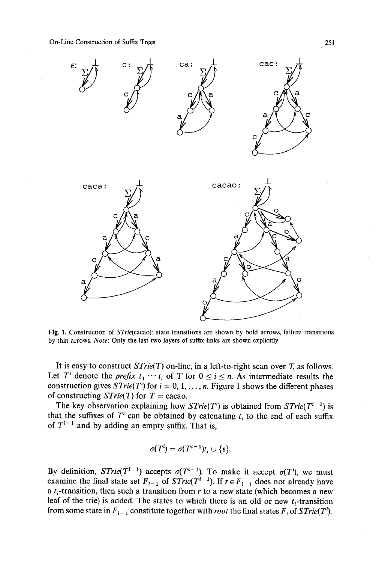

Fig. 1. Construction of *STrie(cacao):* state transitions are shown by bold arrows, failure transitions by thin arrows. *Note:* Only the last two layers of suffix links are shown explicitly.

It is easy to construct *STrie(T)* on-line, in a left-to-right scan over T, as follows. Let T<sup>*i*</sup> denote the *prefix*  $t_1 \cdots t_i$  of T for  $0 \le i \le n$ . As intermediate results the construction gives  $STrie(T^i)$  for  $i = 0, 1, ..., n$ . Figure 1 shows the different phases of constructing  $STrie(T)$  for  $T =$  cacao.

The key observation explaining how  $STrie(T<sup>i</sup>)$  is obtained from  $STrie(T<sup>i-1</sup>)$  is that the suffixes of  $T<sup>i</sup>$  can be obtained by catenating  $t<sub>i</sub>$  to the end of each suffix of  $T^{i-1}$  and by adding an empty suffix. That is,

$$
\sigma(T^i)=\sigma(T^{i-1})t_i\cup\{\varepsilon\}.
$$

By definition,  $STrie(T^{i-1})$  accepts  $\sigma(T^{i-1})$ . To make it accept  $\sigma(T^i)$ , we must examine the final state set  $F_{i-1}$  of  $STrie(T^{i-1})$ . If  $r \in F_{i-1}$  does not already have a  $t_i$ -transition, then such a transition from r to a new state (which becomes a new leaf of the trie) is added. The states to which there is an old or new  $t_i$ -transition from some state in  $F_{i-1}$  constitute together with *root* the final states  $F_i$  of  $STrie(T^i)$ .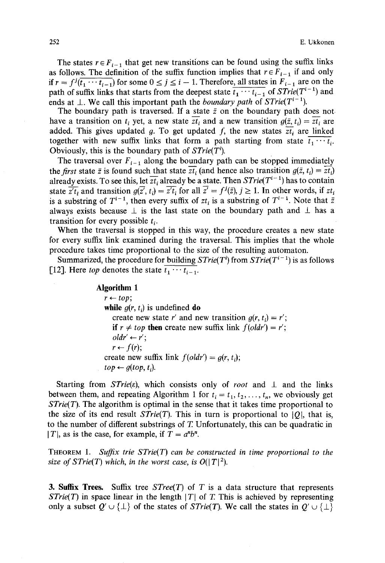The states  $r \in F_{i-1}$  that get new transitions can be found using the suffix links as follows. The definition of the suffix function implies that  $r \in F_{i-1}$  if and only if  $r = f^j(\overline{t_1 \cdots t_{i-1}})$  for some  $0 \le j \le i-1$ . Therefore, all states in  $F_{i-1}$  are on the path of suffix links that starts from the deepest state  $\overline{t_1 \cdots t_{i-1}}$  of  $STrie(T^{i-1})$  and ends at  $\perp$ . We call this important path the *boundary path* of *STrie(T<sup>i-1</sup>)*.

The boundary path is traversed. If a state  $\bar{z}$  on the boundary path does not have a transition on  $t_i$  yet, a new state  $\overline{zt_i}$  and a new transition  $g(\overline{z}, t_i) = \overline{zt_i}$  are added. This gives updated g. To get updated f, the new states  $\overline{zt_i}$  are linked together with new suffix links that form a path starting from state  $\overline{t_1 \cdots t_i}$ . Obviously, this is the boundary path of  $STrie(T^i)$ .

The traversal over  $F_{i-1}$  along the boundary path can be stopped immediately the *first* state  $\bar{z}$  is found such that state  $\overline{zt_i}$  (and hence also transition  $g(\bar{z}, t_i) = \overline{zt_i}$ ) already exists. To see this, let  $\overline{zt_i}$  already be a state. Then  $STrie(T^{i-1})$  has to contain state  $\overline{z't_i}$  and transition  $g(\overline{z'}, t_i) = \overline{z't_i}$  for all  $\overline{z'} = f^j(\overline{z}), j \ge 1$ . In other words, if  $z t_i$ is a substring of  $T^{i-1}$ , then every suffix of  $zt_i$  is a substring of  $T^{i-1}$ . Note that  $\overline{z}$ always exists because  $\perp$  is the last state on the boundary path and  $\perp$  has a transition for every possible  $t_i$ .

When the traversal is stopped in this way, the procedure creates a new state for every suffix link examined during the traversal. This implies that the whole procedure takes time proportional to the size of the resulting automaton.

Summarized, the procedure for building  $STrie(T^i)$  from  $STrie(T^{i-1})$  is as follows [12]. Here *top* denotes the state  $\overline{t_1 \cdots t_{i-1}}$ .

> **Algorithm 1**   $r \leftarrow top$ ; **while**  $g(r, t_i)$  is undefined **do** create new state r' and new transition  $g(r, t_i) = r'$ ; if  $r \neq top$  then create new suffix link  $f(oldr') = r'$ ;  $oldr' \leftarrow r'$ ;  $r \leftarrow f(r);$ create new suffix link  $f(oldr') = g(r, t_i);$  $top \leftarrow g(top, t_i)$ .

Starting from *STrie(e)*, which consists only of *root* and  $\perp$  and the links between them, and repeating Algorithm 1 for  $t_i = t_1, t_2, \ldots, t_n$ , we obviously get *STrie(T).* The algorithm is optimal in the sense that it takes time proportional to the size of its end result  $STrie(T)$ . This in turn is proportional to |Q|, that is, to the number of different substrings of T. Unfortunately, this can be quadratic in  $|T|$ , as is the case, for example, if  $T = a^n b^n$ .

THEOREM 1. *Suffix trie STrie(T) can be constructed in time proportional to the size of STrie(T) which, in the worst case, is*  $O(|T|^2)$ *.* 

**3. Suffix Trees.** Suffix tree  $STree(T)$  of T is a data structure that represents *STrie(T)* in space linear in the length  $|T|$  of T. This is achieved by representing only a subset  $Q' \cup \{\perp\}$  of the states of *STrie(T)*. We call the states in  $Q' \cup \{\perp\}$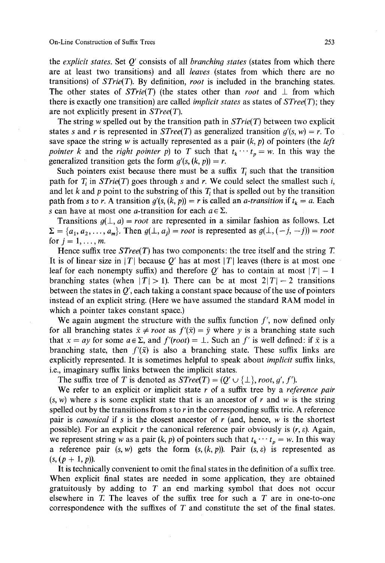the *explicit states.* Set Q' consists of all *branchin9 states* (states from which there are at least two transitions) and all *leaves* (states from which there are no transitions) of *STrie(T).* By definition, *root* is included in the branching states. The other states of  $STrie(T)$  (the states other than *root* and  $\perp$  from which there is exactly one transition) are called *implicit states* as states of *STree(T);* they are not explicitly present in *STree(T).* 

The string w spelled out by the transition path in *STrie(T)* between two explicit states s and r is represented in *STree(T)* as generalized transition  $g'(s, w) = r$ . To save space the string w is actually represented as a pair (k, p) of pointers (the *left pointer k* and the *right pointer p*) to T such that  $t_k \cdots t_p = w$ . In this way the generalized transition gets the form  $g'(s, (k, p)) = r$ .

Such pointers exist because there must be a suffix  $T_i$  such that the transition path for  $T_i$  in  $STrie(T)$  goes through s and r. We could select the smallest such i, and let k and p point to the substring of this  $T<sub>i</sub>$  that is spelled out by the transition path from s to r. A transition  $g'(s, (k, p)) = r$  is called an *a-transition* if  $t_k = a$ . Each s can have at most one *a*-transition for each  $a \in \Sigma$ .

Transitions  $g(\perp, a) = root$  are represented in a similar fashion as follows. Let  $\Sigma = \{a_1, a_2, \ldots, a_m\}$ . Then  $g(\bot, a_j) = root$  is represented as  $g(\bot, (-j, -j)) = root$ for  $i = 1, \ldots, m$ .

Hence suffix tree  $STree(T)$  has two components: the tree itself and the string T. It is of linear size in |T| because O' has at most |T| leaves (there is at most one leaf for each nonempty suffix) and therefore  $Q'$  has to contain at most  $|T| - 1$ branching states (when  $|T| > 1$ ). There can be at most  $2|T|-2$  transitions between the states in  $O'$ , each taking a constant space because of the use of pointers instead of an explicit string. (Here we have assumed the standard RAM model in which a pointer takes constant space.)

We again augment the structure with the suffix function  $f'$ , now defined only for all branching states  $\bar{x} \neq root$  as  $f'(\bar{x}) = \bar{y}$  where y is a branching state such that  $x = ay$  for some  $a \in \Sigma$ , and  $f'(root) = \bot$ . Such an f' is well defined: if  $\bar{x}$  is a branching state, then  $f'(\bar{x})$  is also a branching state. These suffix links are explicitly represented. It is sometimes helpful to speak about *implicit* suffix links, i.e., imaginary suffix links between the implicit states.

The suffix tree of T is denoted as  $STree(T) = (O' \cup \{\perp\}, root, q', f')$ .

We refer to an explicit or implicit state r of a suffix tree by a *reference pair*   $(s, w)$  where s is some explicit state that is an ancestor of r and w is the string spelled out by the transitions from s to  $r$  in the corresponding suffix trie. A reference pair is *canonical* if s is the closest ancestor of r (and, hence, w is the shortest possible). For an explicit r the canonical reference pair obviously is  $(r, \varepsilon)$ . Again, we represent string w as a pair  $(k, p)$  of pointers such that  $t_k \cdots t_p = w$ . In this way a reference pair  $(s, w)$  gets the form  $(s, (k, p))$ . Pair  $(s, \varepsilon)$  is represented as  $(s, (p + 1, p)).$ 

It is technically convenient to omit the final states in the definition of a suffix tree. When explicit final states are needed in some application, they are obtained gratuitously by adding to  $T$  an end marking symbol that does not occur elsewhere in  $T$ . The leaves of the suffix tree for such a  $T$  are in one-to-one correspondence with the suffixes of T and constitute the set of the final states.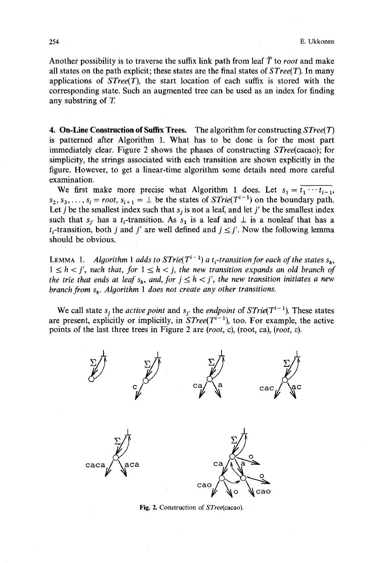Another possibility is to traverse the suffix link path from leaf  $\overline{T}$  to *root* and make all states on the path explicit; these states are the final states of *STree(T).* In many applications of *STree(T),* the start location of each suffix is stored with the corresponding state. Such an augmented tree can be used as an index for finding any substring of T.

4. **On-Line Construction of Suffix Trees.** The algorithm for constructing *STree(T)*  is patterned after Algorithm 1. What has to be done is for the most part immediately clear. Figure 2 shows the phases of constructing *STree(cacao);* for simplicity, the strings associated with each transition are shown explicitly in the figure. However, to get a linear-time algorithm some details need more careful examination.

We first make more precise what Algorithm 1 does. Let  $s_1 = \overline{t_1 \cdots t_{i-1}}$ ,  $s_2, s_3, \ldots, s_i = root, s_{i+1} = \perp$  be the states of *STrie(T<sup>i-1</sup>)* on the boundary path. Let j be the smallest index such that  $s_j$  is not a leaf, and let j' be the smallest index such that  $s_j$  has a  $t_i$ -transition. As  $s_1$  is a leaf and  $\perp$  is a nonleaf that has a  $t_i$ -transition, both j and j' are well defined and  $j \leq j'$ . Now the following lemma should be obvious.

LEMMA 1. *Algorithm 1 adds to STrie*( $T^{i-1}$ ) *a t<sub>i</sub>-transition for each of the states*  $s_h$ ,  $1 \leq h \lt j'$ , such that, for  $1 \leq h \lt j$ , the new transition expands an old branch of *the trie that ends at leaf*  $s_h$ *, and, for*  $j \leq h < j'$ *, the new transition initiates a new branch from s<sub>h</sub>. Algorithm 1 does not create any other transitions.* 

We call state  $s_j$  the *active point* and  $s_{j'}$  the *endpoint* of *STrie*( $T^{i-1}$ ). These states are present, explicitly or implicitly, in  $STree(T^{i-1})$ , too. For example, the active points of the last three trees in Figure 2 are *(root, c)*, *(root, ca), <i>(root,*  $\varepsilon$ *)*.



Fig. 2. Construction of *STree(cacao).*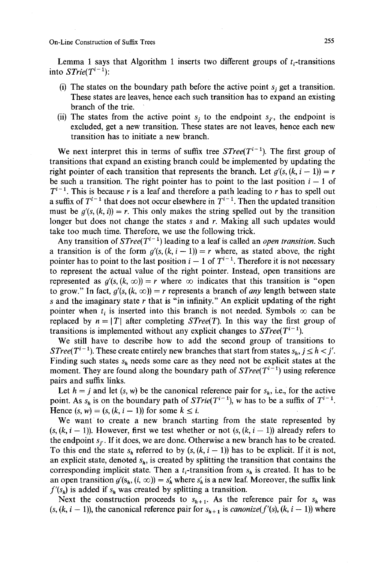Lemma 1 says that Algorithm 1 inserts two different groups of  $t_i$ -transitions into  $STrie(T^{i-1})$ :

- (i) The states on the boundary path before the active point  $s_i$  get a transition. These states are leaves, hence each such transition has to expand an existing branch of the trie.
- (ii) The states from the active point  $s_i$  to the endpoint  $s_{i'}$ , the endpoint is excluded, get a new transition. These states are not leaves, hence each new transition has to initiate a new branch.

We next interpret this in terms of suffix tree  $STree(T^{i-1})$ . The first group of transitions that expand an existing branch could be implemented by updating the right pointer of each transition that represents the branch. Let  $g'(s, (k, i - 1)) = r$ be such a transition. The right pointer has to point to the last position  $i - 1$  of  $T^{i-1}$ . This is because r is a leaf and therefore a path leading to r has to spell out a suffix of  $T^{i-1}$  that does not occur elsewhere in  $T^{i-1}$ . Then the updated transition must be  $g'(s, (k, i)) = r$ . This only makes the string spelled out by the transition longer but does not change the states s and r. Making all such updates would take too much time. Therefore, we use the following trick.

Any transition of  $STree(T^{i-1})$  leading to a leaf is called an *open transition*. Such a transition is of the form  $g'(s, (k, i - 1)) = r$  where, as stated above, the right pointer has to point to the last position  $i - 1$  of  $T^{i-1}$ . Therefore it is not necessary to represent the actual value of the right pointer. Instead, open transitions are represented as  $g'(s, (k, \infty)) = r$  where  $\infty$  indicates that this transition is "open to grow." In fact,  $g'(s, (k, \infty)) = r$  represents a branch of *any* length between state s and the imaginary state r that is "in infinity." An explicit updating of the right pointer when  $t_i$  is inserted into this branch is not needed. Symbols  $\infty$  can be replaced by  $n = |T|$  after completing *STree(T)*. In this way the first group of transitions is implemented without any explicit changes to  $STree(T^{i-1})$ .

We still have to describe how to add the second group of transitions to *STree*( $T^{i-1}$ ). These create entirely new branches that start from states  $s_h$ ,  $j \leq h < j'$ . Finding such states  $s_h$  needs some care as they need not be explicit states at the moment. They are found along the boundary path of  $STree(T^{i-1})$  using reference pairs and suffix links.

Let  $h = j$  and let  $(s, w)$  be the canonical reference pair for  $s_h$ , i.e., for the active point. As  $s_h$  is on the boundary path of  $STrie(T^{i-1})$ , w has to be a suffix of  $T^{i-1}$ . Hence  $(s, w) = (s, (k, i - 1))$  for some  $k \leq i$ .

We want to create a new branch starting from the state represented by  $(s, (k, i - 1))$ . However, first we test whether or not  $(s, (k, i - 1))$  already refers to the endpoint  $s_{i'}$ . If it does, we are done. Otherwise a new branch has to be created. To this end the state  $s_h$  referred to by  $(s, (k, i - 1))$  has to be explicit. If it is not, an explicit state, denoted  $s_h$ , is created by splitting the transition that contains the corresponding implicit state. Then a  $t_i$ -transition from  $s_h$  is created. It has to be an open transition  $g'(s_h, (i, \infty)) = s'_h$  where  $s'_h$  is a new leaf. Moreover, the suffix link  $f'(s_h)$  is added if  $s_h$  was created by splitting a transition.

Next the construction proceeds to  $s_{h+1}$ . As the reference pair for  $s_h$  was  $(s, (k, i - 1))$ , the canonical reference pair for  $s_{h+1}$  is *canonize*( $f'(s)$ ,  $(k, i - 1)$ ) where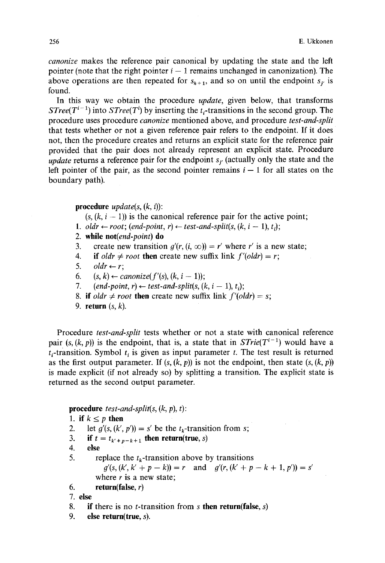*canonize* makes the reference pair canonical by updating the state and the left pointer (note that the right pointer  $i - 1$  remains unchanged in canonization). The above operations are then repeated for  $s_{h+1}$ , and so on until the endpoint  $s_{i'}$  is found:

In this way we obtain the procedure *update,* given below, that transforms *STree(T<sup>i-1</sup>)* into *STree(T<sup>i</sup>)* by inserting the t<sub>i</sub>-transitions in the second group. The procedure uses procedure *canonize* mentioned above, and procedure *test-and-split*  that tests whether or not a given reference pair refers to the endpoint. If it does not, then the procedure creates and returns an explicit state for the reference pair provided that the pair does not already represent an explicit state. Procedure *update* returns a reference pair for the endpoint  $s_i$  (actually only the state and the left pointer of the pair, as the second pointer remains  $i-1$  for all states on the boundary path).

**procedure**  $update(s, (k, i))$ :

- $(s, (k, i 1))$  is the canonical reference pair for the active point;
- 1. *oldr*  $\leftarrow root$ ; (end-point, *r*)  $\leftarrow$  test-and-split(s, (k, i 1), *t*<sub>i</sub>);
- 2. while *not(end-point)* do
- 3. create new transition  $g'(r, (i, \infty)) = r'$  where r' is a new state;
- 4. if *oldr*  $\neq$  *root* then create new suffix link  $f'(oldr) = r$ ;
- 5. oldr  $\leftarrow$  *r*;
- *6. (s, k)* ← *canonize*( $f'(s)$ ,  $(k, i 1)$ );
- *7.* (end-point,  $r$ )  $\leftarrow$  test-and-split(s, (k, i 1), t<sub>i</sub>);
- 8. if *oldr*  $\neq$  *root* then create new suffix link  $f'(oldr) = s$ ;
- **9. return (s, k).**

Procedure *test-and-split* tests whether or not a state with canonical reference pair  $(s, (k, p))$  is the endpoint, that is, a state that in *STrie(T<sup>i-1</sup>)* would have a  $t_i$ -transition. Symbol  $t_i$  is given as input parameter t. The test result is returned as the first output parameter. If  $(s, (k, p))$  is not the endpoint, then state  $(s, (k, p))$ is made explicit (if not already so) by splitting a transition. The explicit state is returned as the second output parameter.

**procedure** *test-and-split(s,* (k, p), t):

- 1. **if**  $k \leq p$  then
- 2. let  $g'(s, (k', p')) = s'$  be the  $t_k$ -transition from s;
- 3. **if**  $t = t_{k'+p-k+1}$  then return(true, *s*)
- **4. else**
- 5. replace the  $t_k$ -transition above by transitions  $g'(s,(k',k'+p-k))=r$  and  $g'(r,(k'+p-k+1, p'))=s'$ where  $r$  is a new state;
- **6. return(false, r)**

7. **else** 

- 8. if there is no t-transition from s **then return(false,** s)
- 9. **else return(true,** s).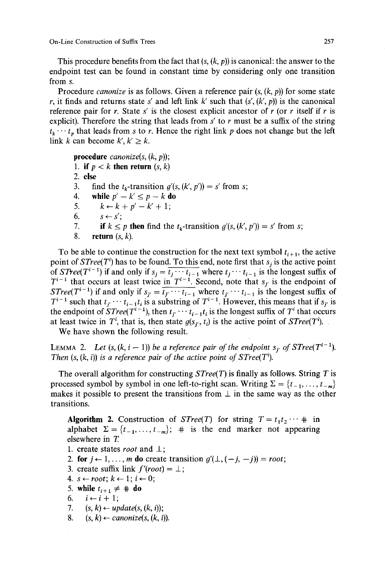This procedure benefits from the fact that  $(s, (k, p))$  is canonical: the answer to the endpoint test can be found in constant time by considering only one transition from s.

Procedure *canonize* is as follows. Given a reference pair  $(s, (k, p))$  for some state r, it finds and returns state s' and left link k' such that  $(s', (k', p))$  is the canonical reference pair for r. State s' is the closest explicit ancestor of r (or r itself if r is explicit). Therefore the string that leads from  $s'$  to  $r$  must be a suffix of the string  $t_k \cdots t_n$  that leads from s to r. Hence the right link p does not change but the left link k can become  $k', k' \geq k$ .

**procedure** *canonize(s, (k,* p)); 1. **if**  $p \lt k$  **then return**  $(s, k)$ 2. else 3. find the  $t_k$ -transition  $g'(s, (k', p')) = s'$  from s; 4. while  $p' - k' \leq p - k$  **do** 5.  $k \leftarrow k + p' - k' + 1;$  $6. \qquad s \leftarrow s'$ 7. **if**  $k \leq p$  then find the  $t_k$ -transition  $g'(s, (k', p')) = s'$  from s; **8. return (s, k).** 

To be able to continue the construction for the next text symbol  $t_{i+1}$ , the active point of  $STree(T<sup>i</sup>)$  has to be found. To this end, note first that  $s_i$  is the active point of *STree*( $T^{i-1}$ ) if and only if  $s_j = \overline{t_j \cdots t_{i-1}}$  where  $t_j \cdots t_{i-1}$  is the longest suffix of  $T^{i-1}$  that occurs at least twice in  $T^{i-1}$ . Second, note that  $s_j$  is the endpoint of *STree*( $T^{i-1}$ ) if and only if  $s_j = \overline{t_j \cdots t_{i-1}}$  where  $t_j \cdots t_{i-1}$  is the longest suffix of  $T^{i-1}$  such that  $t_i \cdots t_{i-1} t_i$  is a substring of  $T^{i-1}$ . However, this means that if  $s_i$  is the endpoint of  $STree(T^{i-1})$ , then  $t_i \cdots t_{i-1}t_i$  is the longest suffix of T<sup>*i*</sup> that occurs at least twice in  $T^i$ , that is, then state  $g(s_{i'}, t_i)$  is the active point of  $STree(T^i)$ .

We have shown the following result.

LEMMA 2. *Let*  $(s, (k, i - 1))$  *be a reference pair of the endpoint*  $s_i$  *of STree*( $T^{i-1}$ *). Then*  $(s, (k, i))$  *is a reference pair of the active point of STree(T<sup><i>i*</sup>).

The overall algorithm for constructing *STree(T)* is finally as follows. String T is processed symbol by symbol in one left-to-right scan. Writing  $\Sigma = \{t_{-1}, \ldots, t_{-m}\}\$ makes it possible to present the transitions from  $\perp$  in the same way as the other transitions.

Algorithm 2. Construction of *STree(T)* for string  $T = t_1 t_2 \cdots \text{ } \text{ } \text{ } \text{ }$  in alphabet  $\Sigma = \{t_{-1}, \ldots, t_{-m}\};$  # is the end marker not appearing elsewhere in T.

- 1. create states *root* and  $\perp$ ;
- 2. for  $j \leftarrow 1, \ldots, m$  do create transition  $g'(\perp, (-j, -j)) = root;$
- 3. create suffix link  $f'(root) = \perp$ ;
- 4.  $s \leftarrow root; k \leftarrow 1; i \leftarrow 0;$
- 5. while  $t_{i+1} \neq \text{# do}$
- 6. *i* ← *i* + 1;
- 7.  $(s, k) \leftarrow update(s, (k, i))$ ;
- 8.  $(s, k) \leftarrow \text{canonical}(s, (k, i)).$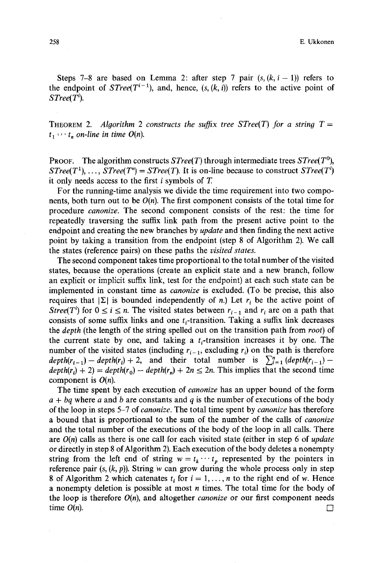Steps 7-8 are based on Lemma 2: after step 7 pair  $(s, (k, i - 1))$  refers to the endpoint of *STree*( $T^{i-1}$ ), and, hence, (s, (k, i)) refers to the active point of *STree(Ti).* 

THEOREM 2. *Algorithm* 2 constructs the suffix tree STree(T) for a string  $T =$  $t_1 \cdots t_n$  on-line in time  $O(n)$ .

**PROOF.** The algorithm constructs  $STree(T)$  through intermediate trees  $STree(T^0)$ . *STree(T<sup>1</sup>), ..., STree(T<sup>n</sup>) = STree(T). It is on-line because to construct <i>STree(T<sup>i</sup>)* it only needs access to the first i symbols of T.

For the running-time analysis we divide the time requirement into two components, both turn out to be  $O(n)$ . The first component consists of the total time for procedure *canonize.* The second component consists of the rest: the time for repeatedly traversing the suffix link path from the present active point to the endpoint and creating the new branches by *update* and then finding the next active point by taking a transition from the endpoint (step 8 of Algorithm 2). We call the states (reference pairs) on these paths the *visited states.* 

The second component takes time proportional to the total number of the visited states, because the operations (create an explicit state and a new branch, follow an explicit or implicit suffix link, test for the endpoint) at each such state can be implemented in constant time as *canonize* is excluded. (To be precise, this also requires that  $|\Sigma|$  is bounded independently of n.) Let  $r_i$  be the active point of *Stree(Ti)* for  $0 \le i \le n$ . The visited states between  $r_{i-1}$  and  $r_i$  are on a path that consists of some suffix links and one  $t_i$ -transition. Taking a suffix link decreases the *depth* (the length of the string spelled out on the transition path from *root)* of the current state by one, and taking a  $t_i$ -transition increases it by one. The number of the visited states (including  $r_{i-1}$ , excluding  $r_i$ ) on the path is therefore  $depth(r_{i-1})-depth(r_i)+2$ , and their total number is  $\sum_{i=1}^{n} (depth(r_{i-1})$  $depth(r_i) + 2) = depth(r_0) - depth(r_n) + 2n \leq 2n$ . This implies that the second time component is *O(n).* 

The time spent by each execution of *canonize* has an upper bound of the form  $a + bq$  where a and b are constants and q is the number of executions of the body of the loop in steps 5-7 of *canonize.* The total time spent by *canonize* has therefore a bound that is proportional to the sum of the number of the calls of *canonize*  and the total number of the executions of the body of the loop in all calls. There are *O(n)* calls as there is one call for each visited state (either in step 6 of *update*  or directly in step 8 of Algorithm 2). Each execution of the body deletes a nonempty string from the left end of string  $w = t_k \cdots t_p$  represented by the pointers in reference pair  $(s, (k, p))$ . String w can grow during the whole process only in step 8 of Algorithm 2 which catenates  $t_i$  for  $i = 1, ..., n$  to the right end of w. Hence a nonempty deletion is possible at most  $n$  times. The total time for the body of the loop is therefore  $O(n)$ , and altogether *canonize* or our first component needs time  $O(n)$ .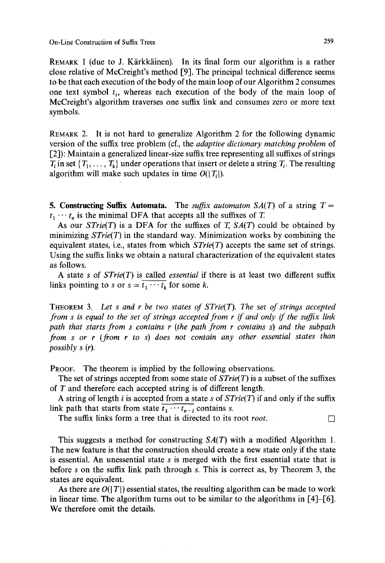On-Line Construction of Suffix Trees 259

REMARK 1 (due to J. Kärkkäinen). In its final form our algorithm is a rather close relative of McCreight's method [9]. The principal technical difference seems to be that each execution of the body of the main loop of our Algorithm 2 consumes one text symbol  $t_i$ , whereas each execution of the body of the main loop of McCreight's algorithm traverses one suffix link and consumes zero or more text symbols.

REMARK 2. It is not hard to generalize Algorithm 2 for the following dynamic version of the suffix tree problem (cf., the *adaptive dictionary matchin9 problem* of [2]): Maintain a generalized linear-size suffix tree representing all suffixes of strings  $T_i$  in set  $\{T_1, \ldots, T_k\}$  under operations that insert or delete a string  $T_i$ . The resulting algorithm will make such updates in time  $O(|T_1|)$ .

**5. Constructing Suffix Automata.** The *suffix automaton SA(T)* of a string  $T =$  $t_1 \cdots t_n$  is the minimal DFA that accepts all the suffixes of T.

As our *STrie(T)* is a DFA for the suffixes of T, *SA(T)* could be obtained by minimizing *STrie(T)* in the standard way. Minimization works by combining the equivalent states, i.e., states from which *STrie(T)* accepts the same set of strings. Using the suffix links we obtain a natural characterization of the equivalent states as follows.

A state s of *STrie(T)* is called *essential* if there is at least two different suffix links pointing to s or  $s = \overline{t_1 \cdots t_k}$  for some k.

THEOREM 3. Let s and r be two states of  $STrie(T)$ . The set of strings accepted *from s is equal to the set of strings accepted from r if and only if the suffix link path that starts from s contains r (the path from r contains s) and the subpath from s or r (from r to s) does not contain any other essential states than possibly s (r).* 

PROOF. The theorem is implied by the following observations.

The set of strings accepted from some state of *STrie(T)* is a subset of the suffixes of T and therefore each accepted string is of different length.

A string of length i is accepted from a state s of *STrie(T)* if and only if the suffix link path that starts from state  $\overline{t_1 \cdots t_{n-i}}$  contains s.

The suffix links form a tree that is directed to its root *root*.

This suggests a method for constructing *SA(T)* with a modified Algorithm 1. The new feature is that the construction should create a new state only if the state is essential. An unessential state s is merged with the first essential state that is before s on the suffix link path through s. This is correct as, by Theorem 3, the states are equivalent.

As there are  $O(|T|)$  essential states, the resulting algorithm can be made to work in linear time. The algorithm turns out to be similar to the algorithms in [4]-[6]. We therefore omit the details.